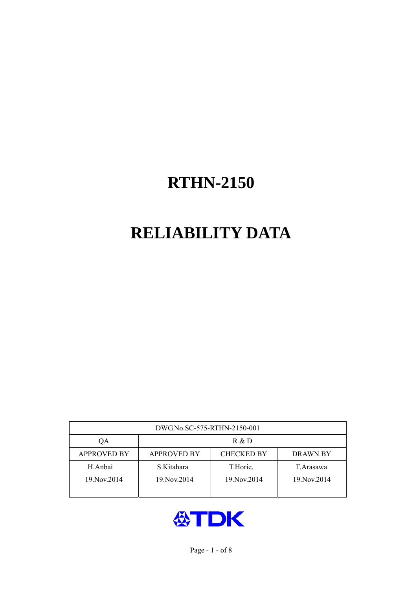# **RELIABILITY DATA**

| DWG.No.SC-575-RTHN-2150-001 |                                                     |               |             |  |  |
|-----------------------------|-----------------------------------------------------|---------------|-------------|--|--|
| ОA                          | R & D                                               |               |             |  |  |
| <b>APPROVED BY</b>          | <b>CHECKED BY</b><br><b>APPROVED BY</b><br>DRAWN BY |               |             |  |  |
| H.Anbai                     | S.Kitahara                                          | T.Horie.      | T.Arasawa   |  |  |
| 19. Nov. 2014               | 19. Nov. 2014                                       | 19. Nov. 2014 | 19 Nov 2014 |  |  |
|                             |                                                     |               |             |  |  |

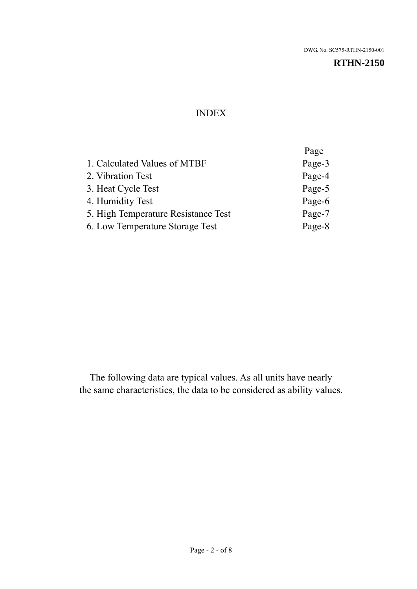#### INDEX

|                                     | Page   |
|-------------------------------------|--------|
| 1. Calculated Values of MTBF        | Page-3 |
| 2. Vibration Test                   | Page-4 |
| 3. Heat Cycle Test                  | Page-5 |
| 4. Humidity Test                    | Page-6 |
| 5. High Temperature Resistance Test | Page-7 |
| 6. Low Temperature Storage Test     | Page-8 |
|                                     |        |

The following data are typical values. As all units have nearly the same characteristics, the data to be considered as ability values.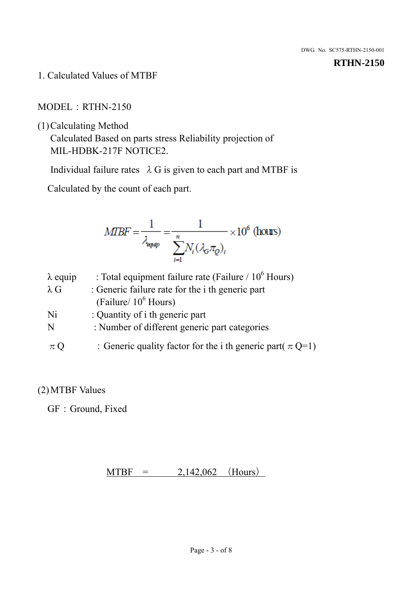1. Calculated Values of MTBF

### MODEL:RTHN-2150

(1)Calculating Method

Calculated Based on parts stress Reliability projection of MIL-HDBK-217F NOTICE2.

Individual failure rates  $\lambda$  G is given to each part and MTBF is

Calculated by the count of each part.

$$
MIBF = \frac{1}{\lambda_{\text{expap}}} = \frac{1}{\sum_{i=1}^{n} N_i (\lambda_{\text{G}} \pi_Q)_i} \times 10^6 \text{ (hours)}
$$

| $\lambda$ equip | : Total equipment failure rate (Failure / $10^6$ Hours)         |
|-----------------|-----------------------------------------------------------------|
| $\lambda$ G     | : Generic failure rate for the <i>i</i> th generic part         |
|                 | (Failure/ $10^6$ Hours)                                         |
| Ni              | : Quantity of i th generic part                                 |
| N               | : Number of different generic part categories                   |
| $\pi Q$         | : Generic quality factor for the i th generic part( $\pi Q=1$ ) |

## (2)MTBF Values

GF: Ground, Fixed

 $MTBF = 2,142,062$  (Hours)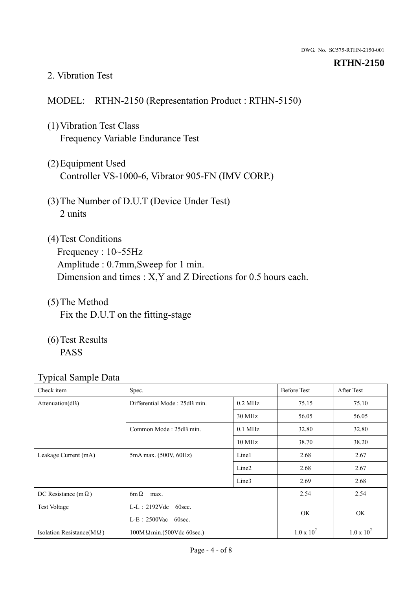#### 2. Vibration Test

#### MODEL: RTHN-2150 (Representation Product : RTHN-5150)

- (1)Vibration Test Class Frequency Variable Endurance Test
- (2)Equipment Used Controller VS-1000-6, Vibrator 905-FN (IMV CORP.)
- (3)The Number of D.U.T (Device Under Test) 2 units
- (4)Test Conditions Frequency : 10~55Hz Amplitude : 0.7mm,Sweep for 1 min. Dimension and times : X,Y and Z Directions for 0.5 hours each.
- (5)The Method Fix the D.U.T on the fitting-stage
- (6)Test Results PASS

| Check item                        | Spec.                                           |                   | <b>Before Test</b> | After Test        |
|-----------------------------------|-------------------------------------------------|-------------------|--------------------|-------------------|
| Attenuation(dB)                   | Differential Mode: 25dB min.                    | $0.2$ MHz         | 75.15              | 75.10             |
|                                   |                                                 | 30 MHz            | 56.05              | 56.05             |
|                                   | Common Mode: 25dB min.                          | $0.1$ MHz         | 32.80              | 32.80             |
|                                   |                                                 | 10 MHz            | 38.70              | 38.20             |
| Leakage Current (mA)              | 5mA max. (500V, 60Hz)                           | Line1             | 2.68               | 2.67              |
|                                   |                                                 | Line <sub>2</sub> | 2.68               | 2.67              |
|                                   |                                                 | Line3             | 2.69               | 2.68              |
| DC Resistance (m $\Omega$ )       | $6m\Omega$<br>max.                              |                   |                    | 2.54              |
| <b>Test Voltage</b>               | $L-L: 2192Vdc$ 60sec.<br>$L-E$ : 2500Vac 60sec. |                   |                    |                   |
|                                   |                                                 |                   | OK.                | OK                |
| Isolation Resistance( $M\Omega$ ) | $100M\Omega$ min.(500Vdc 60sec.)                |                   | $1.0 \times 10^7$  | $1.0 \times 10^7$ |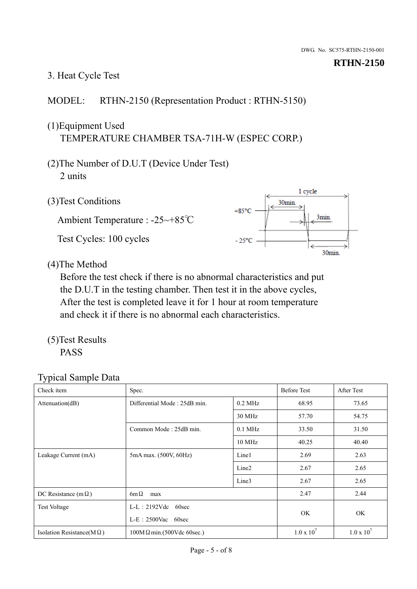# 3. Heat Cycle Test

## MODEL: RTHN-2150 (Representation Product : RTHN-5150)

## (1)Equipment Used TEMPERATURE CHAMBER TSA-71H-W (ESPEC CORP.)

- (2)The Number of D.U.T (Device Under Test) 2 units
- (3)Test Conditions

Ambient Temperature : -25~+85℃ Test Cycles: 100 cycles



(4)The Method

Before the test check if there is no abnormal characteristics and put the D.U.T in the testing chamber. Then test it in the above cycles, After the test is completed leave it for 1 hour at room temperature and check it if there is no abnormal each characteristics.

(5)Test Results PASS

| Check item                        | Spec.                                            |                   | <b>Before Test</b>  | After Test        |
|-----------------------------------|--------------------------------------------------|-------------------|---------------------|-------------------|
| Attenuation(dB)                   | Differential Mode: 25dB min.                     | $0.2$ MHz         | 68.95               | 73.65             |
|                                   |                                                  | 30 MHz            | 57.70               | 54.75             |
|                                   | Common Mode: 25dB min.                           | $0.1$ MHz         | 33.50               | 31.50             |
|                                   |                                                  | 10 MHz            | 40.25               | 40.40             |
| Leakage Current (mA)              | 5mA max. (500V, 60Hz)                            | Line1             | 2.69                | 2.63              |
|                                   |                                                  | Line <sub>2</sub> | 2.67                | 2.65              |
|                                   |                                                  | Line3             | 2.67                | 2.65              |
| DC Resistance (m $\Omega$ )       | $6m\Omega$<br>max                                |                   | 2.47                | 2.44              |
| <b>Test Voltage</b>               | $L-L: 2192Vdc$<br>60sec<br>$L-E$ : 2500Vac 60sec |                   | OK                  | OK                |
|                                   |                                                  |                   |                     |                   |
| Isolation Resistance( $M\Omega$ ) | $100M\Omega$ min.(500Vdc 60sec.)                 |                   | $1.0 \times 10^{7}$ | $1.0 \times 10^7$ |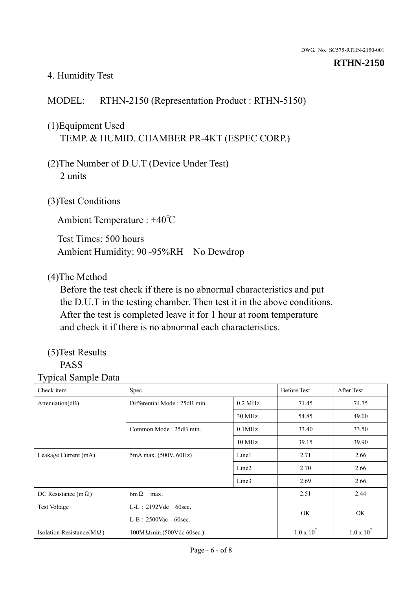#### 4. Humidity Test

## MODEL: RTHN-2150 (Representation Product : RTHN-5150)

## (1)Equipment Used TEMP. & HUMID. CHAMBER PR-4KT (ESPEC CORP.)

- (2)The Number of D.U.T (Device Under Test) 2 units
- (3)Test Conditions

Ambient Temperature : +40℃

Test Times: 500 hours Ambient Humidity: 90~95%RH No Dewdrop

#### (4)The Method

Before the test check if there is no abnormal characteristics and put the D.U.T in the testing chamber. Then test it in the above conditions. After the test is completed leave it for 1 hour at room temperature and check it if there is no abnormal each characteristics.

#### (5)Test Results PASS

# Typical Sample Data

Check item Spec. Spec. Spec. Spec. Spec. Spec. Spec. Spec. Spec. Spec. Spec. Spec. Spec. Spec. Spec. Spec. Spec. Spec. Spec. Spec. Spec. Spec. Spec. Spec. Spec. Spec. Spec. Spec. Spec. Spec. Spec. Spec. Spec. Spec. Spec. S Attenuation(dB) Differential Mode : 25dB min. 0.2 MHz 71.45 74.75 30 MHz 54.85 49.00 Common Mode : 25dB min.  $\vert$  0.1MHz  $\vert$  33.40 33.50 10 MHz 39.15 39.90 Leakage Current (mA) 5mA max. (500V, 60Hz) Line1 2.71 2.66 Line2 2.70 2.66 Line3 2.69 2.66 DC Resistance  $(m\Omega)$  6m $\Omega$  max. 2.51 2.44 Test Voltage L-L: 2192Vdc 60sec. L-E:2500Vac 60sec. OK OK Isolation Resistance(M  $\Omega$ ) 100M  $\Omega$  min.(500Vdc 60sec.) 1.0 x 10<sup>7</sup>  $1.0 \times 10^7$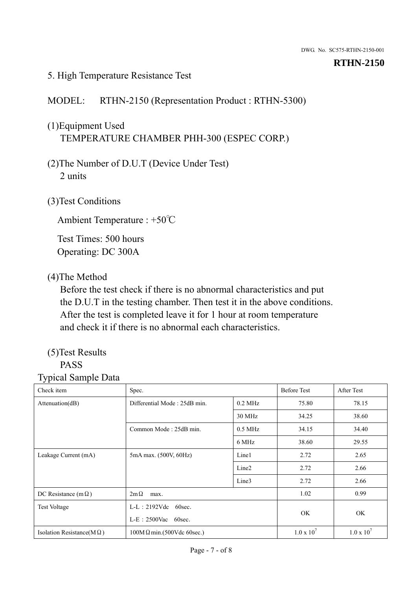#### 5. High Temperature Resistance Test

## MODEL: RTHN-2150 (Representation Product : RTHN-5300)

# (1)Equipment Used TEMPERATURE CHAMBER PHH-300 (ESPEC CORP.)

- (2)The Number of D.U.T (Device Under Test) 2 units
- (3)Test Conditions

Ambient Temperature : +50℃

Test Times: 500 hours Operating: DC 300A

## (4)The Method

Before the test check if there is no abnormal characteristics and put the D.U.T in the testing chamber. Then test it in the above conditions. After the test is completed leave it for 1 hour at room temperature and check it if there is no abnormal each characteristics.

#### (5)Test Results PASS

| - 11                              |                                                    |                   |                    |                   |
|-----------------------------------|----------------------------------------------------|-------------------|--------------------|-------------------|
| Check item                        | Spec.                                              |                   | <b>Before Test</b> | After Test        |
| Attenuation(dB)                   | Differential Mode: 25dB min.                       | $0.2$ MHz         | 75.80              | 78.15             |
|                                   |                                                    | 30 MHz            | 34.25              | 38.60             |
|                                   | Common Mode: 25dB min.                             | $0.5$ MHz         | 34.15              | 34.40             |
|                                   |                                                    | 6 MHz             | 38.60              | 29.55             |
| Leakage Current (mA)              | 5mA max. (500V, 60Hz)                              | Line1             | 2.72               | 2.65              |
|                                   |                                                    | Line <sub>2</sub> | 2.72               | 2.66              |
|                                   |                                                    | Line3             | 2.72               | 2.66              |
| DC Resistance (m $\Omega$ )       | $2m\Omega$<br>max.                                 |                   | 1.02               | 0.99              |
| <b>Test Voltage</b>               | $L-L: 2192Vdc$<br>60sec.<br>$L-E$ : 2500Vac 60sec. |                   |                    |                   |
|                                   |                                                    |                   | <b>OK</b>          | OK.               |
| Isolation Resistance(M $\Omega$ ) | $100M \Omega min.(500Vdc 60sec.)$                  |                   | $1.0 \times 10^7$  | $1.0 \times 10^7$ |